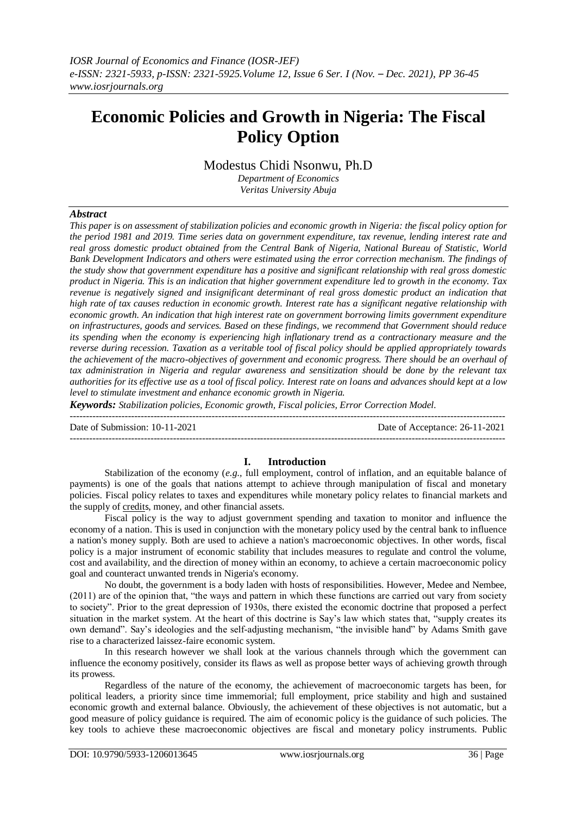# **Economic Policies and Growth in Nigeria: The Fiscal Policy Option**

Modestus Chidi Nsonwu, Ph.D

*Department of Economics Veritas University Abuja*

# *Abstract*

*This paper is on assessment of stabilization policies and economic growth in Nigeria: the fiscal policy option for the period 1981 and 2019. Time series data on government expenditure, tax revenue, lending interest rate and real gross domestic product obtained from the Central Bank of Nigeria, National Bureau of Statistic, World Bank Development Indicators and others were estimated using the error correction mechanism. The findings of the study show that government expenditure has a positive and significant relationship with real gross domestic product in Nigeria. This is an indication that higher government expenditure led to growth in the economy. Tax revenue is negatively signed and insignificant determinant of real gross domestic product an indication that high rate of tax causes reduction in economic growth. Interest rate has a significant negative relationship with economic growth. An indication that high interest rate on government borrowing limits government expenditure on infrastructures, goods and services. Based on these findings, we recommend that Government should reduce its spending when the economy is experiencing high inflationary trend as a contractionary measure and the reverse during recession. Taxation as a veritable tool of fiscal policy should be applied appropriately towards the achievement of the macro-objectives of government and economic progress. There should be an overhaul of tax administration in Nigeria and regular awareness and sensitization should be done by the relevant tax authorities for its effective use as a tool of fiscal policy. Interest rate on loans and advances should kept at a low level to stimulate investment and enhance economic growth in Nigeria.*

*Keywords: Stabilization policies, Economic growth, Fiscal policies, Error Correction Model.* ---------------------------------------------------------------------------------------------------------------------------------------

Date of Submission: 10-11-2021 Date of Acceptance: 26-11-2021

**I. Introduction** Stabilization of the economy (*e.g.,* full employment, control of inflation, and an equitable balance of payments) is one of the goals that nations attempt to achieve through manipulation of fiscal and monetary policies. Fiscal policy relates to taxes and expenditures while monetary policy relates to financial markets and the supply o[f credit](https://www.britannica.com/topic/credit)s, money, and other financial assets.

---------------------------------------------------------------------------------------------------------------------------------------

Fiscal policy is the way to adjust government spending and taxation to monitor and influence the economy of a nation. This is used in conjunction with the monetary policy used by the central bank to influence a nation's money supply. Both are used to achieve a nation's macroeconomic objectives. In other words, fiscal policy is a major instrument of economic stability that includes measures to regulate and control the volume, cost and availability, and the direction of money within an economy, to achieve a certain macroeconomic policy goal and counteract unwanted trends in Nigeria's economy.

No doubt, the government is a body laden with hosts of responsibilities. However, Medee and Nembee, (2011) are of the opinion that, "the ways and pattern in which these functions are carried out vary from society to society". Prior to the great depression of 1930s, there existed the economic doctrine that proposed a perfect situation in the market system. At the heart of this doctrine is Say's law which states that, "supply creates its own demand". Say's ideologies and the self-adjusting mechanism, "the invisible hand" by Adams Smith gave rise to a characterized laissez-faire economic system.

In this research however we shall look at the various channels through which the government can influence the economy positively, consider its flaws as well as propose better ways of achieving growth through its prowess.

Regardless of the nature of the economy, the achievement of macroeconomic targets has been, for political leaders, a priority since time immemorial; full employment, price stability and high and sustained economic growth and external balance. Obviously, the achievement of these objectives is not automatic, but a good measure of policy guidance is required. The aim of economic policy is the guidance of such policies. The key tools to achieve these macroeconomic objectives are fiscal and monetary policy instruments. Public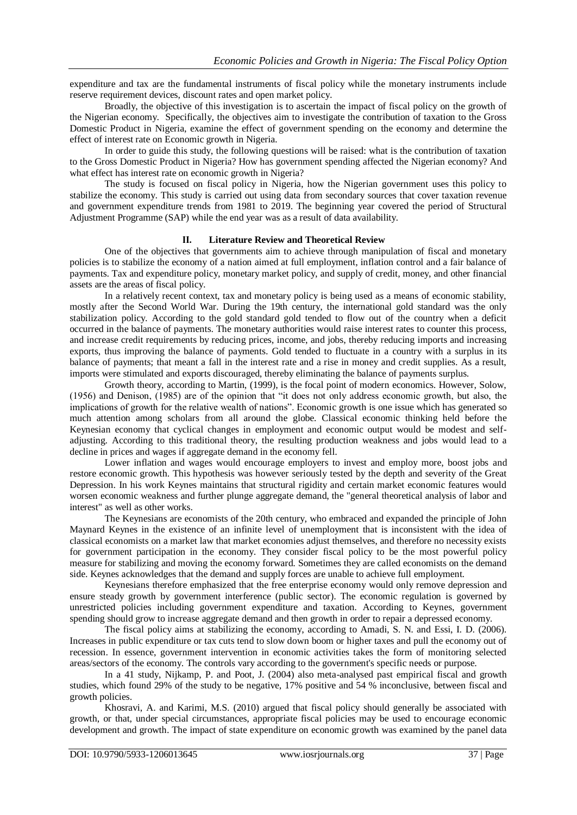expenditure and tax are the fundamental instruments of fiscal policy while the monetary instruments include reserve requirement devices, discount rates and open market policy.

Broadly, the objective of this investigation is to ascertain the impact of fiscal policy on the growth of the Nigerian economy. Specifically, the objectives aim to investigate the contribution of taxation to the Gross Domestic Product in Nigeria, examine the effect of government spending on the economy and determine the effect of interest rate on Economic growth in Nigeria.

In order to guide this study, the following questions will be raised: what is the contribution of taxation to the Gross Domestic Product in Nigeria? How has government spending affected the Nigerian economy? And what effect has interest rate on economic growth in Nigeria?

The study is focused on fiscal policy in Nigeria, how the Nigerian government uses this policy to stabilize the economy. This study is carried out using data from secondary sources that cover taxation revenue and government expenditure trends from 1981 to 2019. The beginning year covered the period of Structural Adjustment Programme (SAP) while the end year was as a result of data availability.

#### **II. Literature Review and Theoretical Review**

One of the objectives that governments aim to achieve through manipulation of fiscal and monetary policies is to stabilize the economy of a nation aimed at full employment, inflation control and a fair balance of payments. Tax and expenditure policy, monetary market policy, and supply of credit, money, and other financial assets are the areas of fiscal policy.

In a relatively recent context, tax and monetary policy is being used as a means of economic stability, mostly after the Second World War. During the 19th century, the international gold standard was the only stabilization policy. According to the gold standard gold tended to flow out of the country when a deficit occurred in the balance of payments. The monetary authorities would raise interest rates to counter this process, and increase credit requirements by reducing prices, income, and jobs, thereby reducing imports and increasing exports, thus improving the balance of payments. Gold tended to fluctuate in a country with a surplus in its balance of payments; that meant a fall in the interest rate and a rise in money and credit supplies. As a result, imports were stimulated and exports discouraged, thereby eliminating the balance of payments surplus.

Growth theory, according to Martin, (1999), is the focal point of modern economics. However, Solow, (1956) and Denison, (1985) are of the opinion that "it does not only address economic growth, but also, the implications of growth for the relative wealth of nations". Economic growth is one issue which has generated so much attention among scholars from all around the globe. Classical economic thinking held before the Keynesian economy that cyclical changes in employment and economic output would be modest and selfadjusting. According to this traditional theory, the resulting production weakness and jobs would lead to a decline in prices and wages if aggregate demand in the economy fell.

Lower inflation and wages would encourage employers to invest and employ more, boost jobs and restore economic growth. This hypothesis was however seriously tested by the depth and severity of the Great Depression. In his work Keynes maintains that structural rigidity and certain market economic features would worsen economic weakness and further plunge aggregate demand, the "general theoretical analysis of labor and interest" as well as other works.

The Keynesians are economists of the 20th century, who embraced and expanded the principle of John Maynard Keynes in the existence of an infinite level of unemployment that is inconsistent with the idea of classical economists on a market law that market economies adjust themselves, and therefore no necessity exists for government participation in the economy. They consider fiscal policy to be the most powerful policy measure for stabilizing and moving the economy forward. Sometimes they are called economists on the demand side. Keynes acknowledges that the demand and supply forces are unable to achieve full employment.

Keynesians therefore emphasized that the free enterprise economy would only remove depression and ensure steady growth by government interference (public sector). The economic regulation is governed by unrestricted policies including government expenditure and taxation. According to Keynes, government spending should grow to increase aggregate demand and then growth in order to repair a depressed economy.

The fiscal policy aims at stabilizing the economy, according to Amadi, S. N. and Essi, I. D. (2006). Increases in public expenditure or tax cuts tend to slow down boom or higher taxes and pull the economy out of recession. In essence, government intervention in economic activities takes the form of monitoring selected areas/sectors of the economy. The controls vary according to the government's specific needs or purpose.

In a 41 study, Nijkamp, P. and Poot, J. (2004) also meta-analysed past empirical fiscal and growth studies, which found 29% of the study to be negative, 17% positive and 54 % inconclusive, between fiscal and growth policies.

Khosravi, A. and Karimi, M.S. (2010) argued that fiscal policy should generally be associated with growth, or that, under special circumstances, appropriate fiscal policies may be used to encourage economic development and growth. The impact of state expenditure on economic growth was examined by the panel data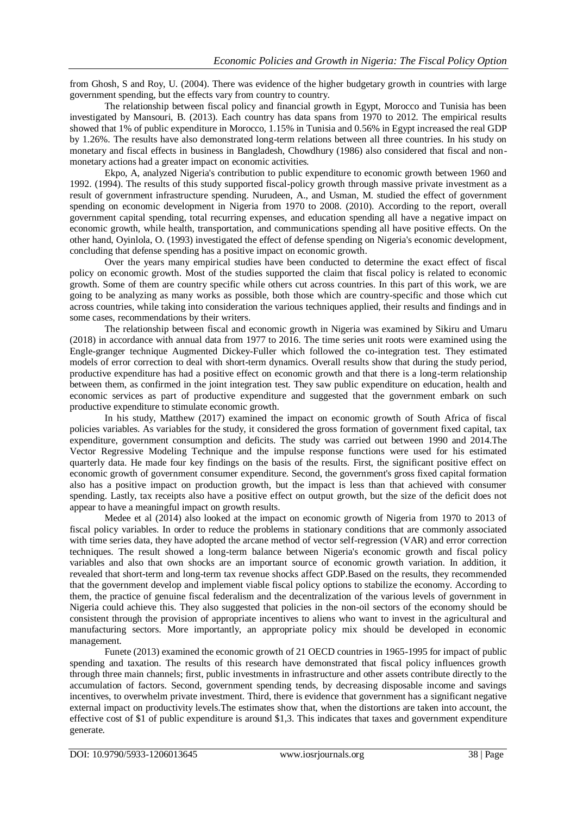from Ghosh, S and Roy, U. (2004). There was evidence of the higher budgetary growth in countries with large government spending, but the effects vary from country to country.

The relationship between fiscal policy and financial growth in Egypt, Morocco and Tunisia has been investigated by Mansouri, B. (2013). Each country has data spans from 1970 to 2012. The empirical results showed that 1% of public expenditure in Morocco, 1.15% in Tunisia and 0.56% in Egypt increased the real GDP by 1.26%. The results have also demonstrated long-term relations between all three countries. In his study on monetary and fiscal effects in business in Bangladesh, Chowdhury (1986) also considered that fiscal and nonmonetary actions had a greater impact on economic activities.

Ekpo, A, analyzed Nigeria's contribution to public expenditure to economic growth between 1960 and 1992. (1994). The results of this study supported fiscal-policy growth through massive private investment as a result of government infrastructure spending. Nurudeen, A., and Usman, M. studied the effect of government spending on economic development in Nigeria from 1970 to 2008. (2010). According to the report, overall government capital spending, total recurring expenses, and education spending all have a negative impact on economic growth, while health, transportation, and communications spending all have positive effects. On the other hand, Oyinlola, O. (1993) investigated the effect of defense spending on Nigeria's economic development, concluding that defense spending has a positive impact on economic growth.

Over the years many empirical studies have been conducted to determine the exact effect of fiscal policy on economic growth. Most of the studies supported the claim that fiscal policy is related to economic growth. Some of them are country specific while others cut across countries. In this part of this work, we are going to be analyzing as many works as possible, both those which are country-specific and those which cut across countries, while taking into consideration the various techniques applied, their results and findings and in some cases, recommendations by their writers.

The relationship between fiscal and economic growth in Nigeria was examined by Sikiru and Umaru (2018) in accordance with annual data from 1977 to 2016. The time series unit roots were examined using the Engle-granger technique Augmented Dickey-Fuller which followed the co-integration test. They estimated models of error correction to deal with short-term dynamics. Overall results show that during the study period, productive expenditure has had a positive effect on economic growth and that there is a long-term relationship between them, as confirmed in the joint integration test. They saw public expenditure on education, health and economic services as part of productive expenditure and suggested that the government embark on such productive expenditure to stimulate economic growth.

In his study, Matthew (2017) examined the impact on economic growth of South Africa of fiscal policies variables. As variables for the study, it considered the gross formation of government fixed capital, tax expenditure, government consumption and deficits. The study was carried out between 1990 and 2014.The Vector Regressive Modeling Technique and the impulse response functions were used for his estimated quarterly data. He made four key findings on the basis of the results. First, the significant positive effect on economic growth of government consumer expenditure. Second, the government's gross fixed capital formation also has a positive impact on production growth, but the impact is less than that achieved with consumer spending. Lastly, tax receipts also have a positive effect on output growth, but the size of the deficit does not appear to have a meaningful impact on growth results.

Medee et al (2014) also looked at the impact on economic growth of Nigeria from 1970 to 2013 of fiscal policy variables. In order to reduce the problems in stationary conditions that are commonly associated with time series data, they have adopted the arcane method of vector self-regression (VAR) and error correction techniques. The result showed a long-term balance between Nigeria's economic growth and fiscal policy variables and also that own shocks are an important source of economic growth variation. In addition, it revealed that short-term and long-term tax revenue shocks affect GDP.Based on the results, they recommended that the government develop and implement viable fiscal policy options to stabilize the economy. According to them, the practice of genuine fiscal federalism and the decentralization of the various levels of government in Nigeria could achieve this. They also suggested that policies in the non-oil sectors of the economy should be consistent through the provision of appropriate incentives to aliens who want to invest in the agricultural and manufacturing sectors. More importantly, an appropriate policy mix should be developed in economic management.

Funete (2013) examined the economic growth of 21 OECD countries in 1965-1995 for impact of public spending and taxation. The results of this research have demonstrated that fiscal policy influences growth through three main channels; first, public investments in infrastructure and other assets contribute directly to the accumulation of factors. Second, government spending tends, by decreasing disposable income and savings incentives, to overwhelm private investment. Third, there is evidence that government has a significant negative external impact on productivity levels.The estimates show that, when the distortions are taken into account, the effective cost of \$1 of public expenditure is around \$1,3. This indicates that taxes and government expenditure generate.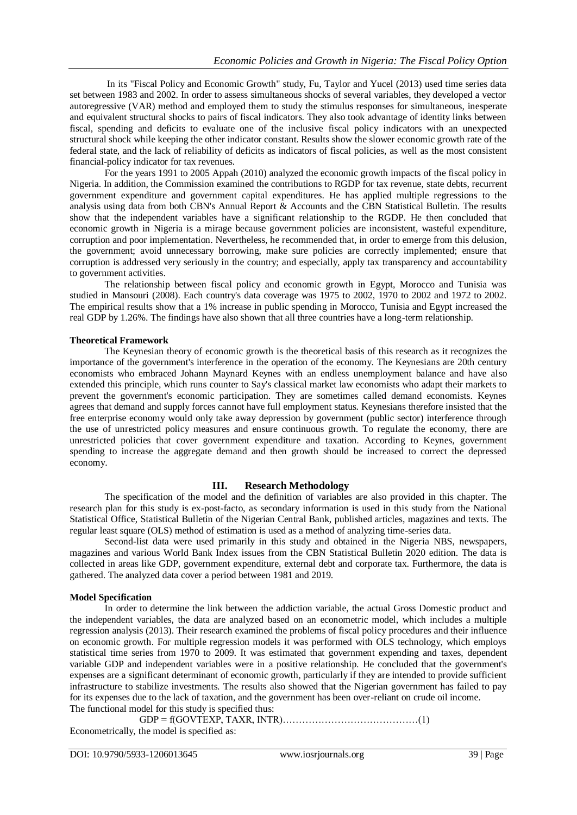In its "Fiscal Policy and Economic Growth" study, Fu, Taylor and Yucel (2013) used time series data set between 1983 and 2002. In order to assess simultaneous shocks of several variables, they developed a vector autoregressive (VAR) method and employed them to study the stimulus responses for simultaneous, inesperate and equivalent structural shocks to pairs of fiscal indicators. They also took advantage of identity links between fiscal, spending and deficits to evaluate one of the inclusive fiscal policy indicators with an unexpected structural shock while keeping the other indicator constant. Results show the slower economic growth rate of the federal state, and the lack of reliability of deficits as indicators of fiscal policies, as well as the most consistent financial-policy indicator for tax revenues.

For the years 1991 to 2005 Appah (2010) analyzed the economic growth impacts of the fiscal policy in Nigeria. In addition, the Commission examined the contributions to RGDP for tax revenue, state debts, recurrent government expenditure and government capital expenditures. He has applied multiple regressions to the analysis using data from both CBN's Annual Report & Accounts and the CBN Statistical Bulletin. The results show that the independent variables have a significant relationship to the RGDP. He then concluded that economic growth in Nigeria is a mirage because government policies are inconsistent, wasteful expenditure, corruption and poor implementation. Nevertheless, he recommended that, in order to emerge from this delusion, the government; avoid unnecessary borrowing, make sure policies are correctly implemented; ensure that corruption is addressed very seriously in the country; and especially, apply tax transparency and accountability to government activities.

The relationship between fiscal policy and economic growth in Egypt, Morocco and Tunisia was studied in Mansouri (2008). Each country's data coverage was 1975 to 2002, 1970 to 2002 and 1972 to 2002. The empirical results show that a 1% increase in public spending in Morocco, Tunisia and Egypt increased the real GDP by 1.26%. The findings have also shown that all three countries have a long-term relationship.

# **Theoretical Framework**

The Keynesian theory of economic growth is the theoretical basis of this research as it recognizes the importance of the government's interference in the operation of the economy. The Keynesians are 20th century economists who embraced Johann Maynard Keynes with an endless unemployment balance and have also extended this principle, which runs counter to Say's classical market law economists who adapt their markets to prevent the government's economic participation. They are sometimes called demand economists. Keynes agrees that demand and supply forces cannot have full employment status. Keynesians therefore insisted that the free enterprise economy would only take away depression by government (public sector) interference through the use of unrestricted policy measures and ensure continuous growth. To regulate the economy, there are unrestricted policies that cover government expenditure and taxation. According to Keynes, government spending to increase the aggregate demand and then growth should be increased to correct the depressed economy.

# **III. Research Methodology**

The specification of the model and the definition of variables are also provided in this chapter. The research plan for this study is ex-post-facto, as secondary information is used in this study from the National Statistical Office, Statistical Bulletin of the Nigerian Central Bank, published articles, magazines and texts. The regular least square (OLS) method of estimation is used as a method of analyzing time-series data.

Second-list data were used primarily in this study and obtained in the Nigeria NBS, newspapers, magazines and various World Bank Index issues from the CBN Statistical Bulletin 2020 edition. The data is collected in areas like GDP, government expenditure, external debt and corporate tax. Furthermore, the data is gathered. The analyzed data cover a period between 1981 and 2019.

## **Model Specification**

In order to determine the link between the addiction variable, the actual Gross Domestic product and the independent variables, the data are analyzed based on an econometric model, which includes a multiple regression analysis (2013). Their research examined the problems of fiscal policy procedures and their influence on economic growth. For multiple regression models it was performed with OLS technology, which employs statistical time series from 1970 to 2009. It was estimated that government expending and taxes, dependent variable GDP and independent variables were in a positive relationship. He concluded that the government's expenses are a significant determinant of economic growth, particularly if they are intended to provide sufficient infrastructure to stabilize investments. The results also showed that the Nigerian government has failed to pay for its expenses due to the lack of taxation, and the government has been over-reliant on crude oil income. The functional model for this study is specified thus:

GDP = f(GOVTEXP, TAXR, INTR)……………………………………(1) Econometrically, the model is specified as: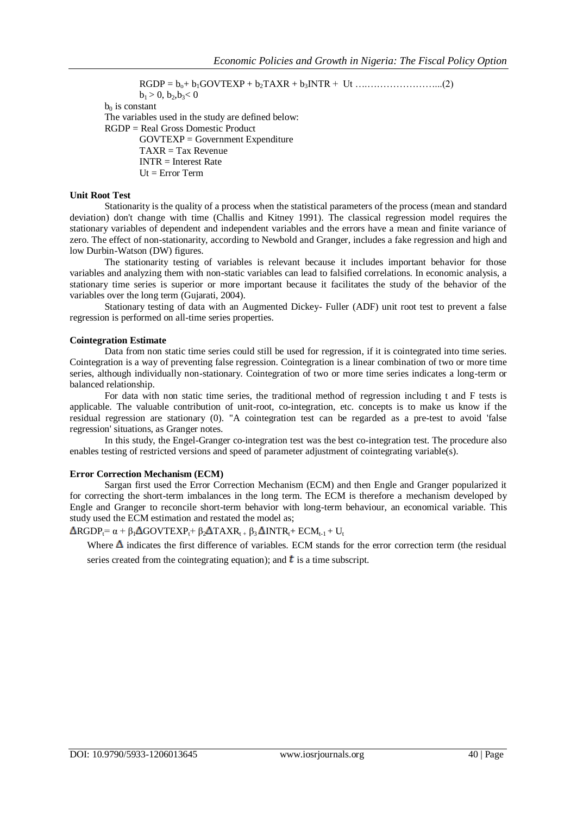RGDP = bo+ b1GOVTEXP + b2TAXR + b3INTR + Ut ….…………………...(2)  $b_1 > 0$ ,  $b_2, b_3 < 0$  $b_0$  is constant The variables used in the study are defined below: RGDP = Real Gross Domestic Product GOVTEXP = Government Expenditure  $TAXR = Tax$  Revenue  $INTR = Interest Rate$  $Ut = Error Term$ 

## **Unit Root Test**

Stationarity is the quality of a process when the statistical parameters of the process (mean and standard deviation) don't change with time (Challis and Kitney 1991). The classical regression model requires the stationary variables of dependent and independent variables and the errors have a mean and finite variance of zero. The effect of non-stationarity, according to Newbold and Granger, includes a fake regression and high and low Durbin-Watson (DW) figures.

The stationarity testing of variables is relevant because it includes important behavior for those variables and analyzing them with non-static variables can lead to falsified correlations. In economic analysis, a stationary time series is superior or more important because it facilitates the study of the behavior of the variables over the long term (Gujarati, 2004).

Stationary testing of data with an Augmented Dickey- Fuller (ADF) unit root test to prevent a false regression is performed on all-time series properties.

#### **Cointegration Estimate**

Data from non static time series could still be used for regression, if it is cointegrated into time series. Cointegration is a way of preventing false regression. Cointegration is a linear combination of two or more time series, although individually non-stationary. Cointegration of two or more time series indicates a long-term or balanced relationship.

For data with non static time series, the traditional method of regression including t and F tests is applicable. The valuable contribution of unit-root, co-integration, etc. concepts is to make us know if the residual regression are stationary (0). "A cointegration test can be regarded as a pre-test to avoid 'false regression' situations, as Granger notes.

In this study, the Engel-Granger co-integration test was the best co-integration test. The procedure also enables testing of restricted versions and speed of parameter adjustment of cointegrating variable(s).

#### **Error Correction Mechanism (ECM)**

Sargan first used the Error Correction Mechanism (ECM) and then Engle and Granger popularized it for correcting the short-term imbalances in the long term. The ECM is therefore a mechanism developed by Engle and Granger to reconcile short-term behavior with long-term behaviour, an economical variable. This study used the ECM estimation and restated the model as;

# $\Delta$ RGDP<sub>t</sub>=  $\alpha$  +  $\beta_1$  $\Delta$ GOVTEXP<sub>t</sub>+  $\beta_2$  $\Delta$ TAXR<sub>t +</sub>  $\beta_3$  $\Delta$ INTR<sub>t</sub>+ ECM<sub>t-1</sub> + U<sub>t</sub>

Where  $\Delta$  indicates the first difference of variables. ECM stands for the error correction term (the residual series created from the cointegrating equation); and  $\mathbf{t}$  is a time subscript.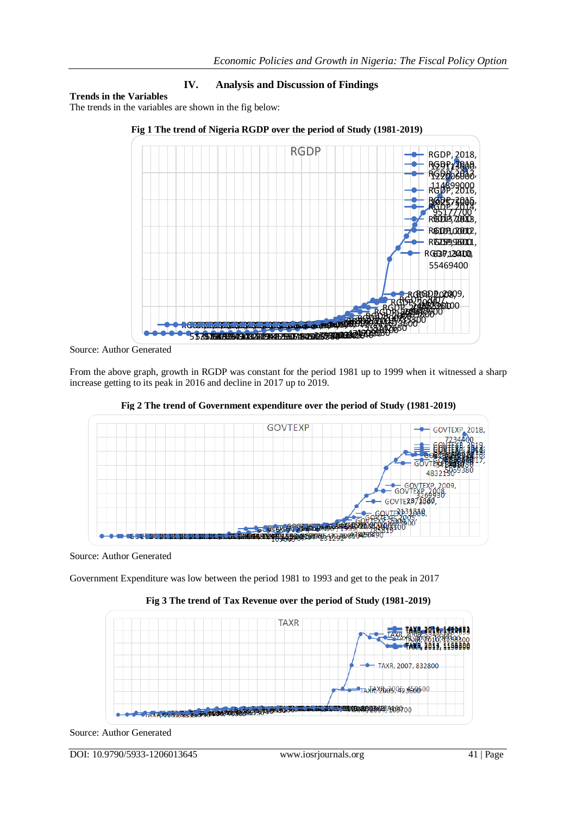# **IV. Analysis and Discussion of Findings**

# **Trends in the Variables**

The trends in the variables are shown in the fig below:



# **Fig 1 The trend of Nigeria RGDP over the period of Study (1981-2019)**

Source: Author Generated

From the above graph, growth in RGDP was constant for the period 1981 up to 1999 when it witnessed a sharp increase getting to its peak in 2016 and decline in 2017 up to 2019.



**Fig 2 The trend of Government expenditure over the period of Study (1981-2019)**

Source: Author Generated

Government Expenditure was low between the period 1981 to 1993 and get to the peak in 2017



**Fig 3 The trend of Tax Revenue over the period of Study (1981-2019)**

Source: Author Generated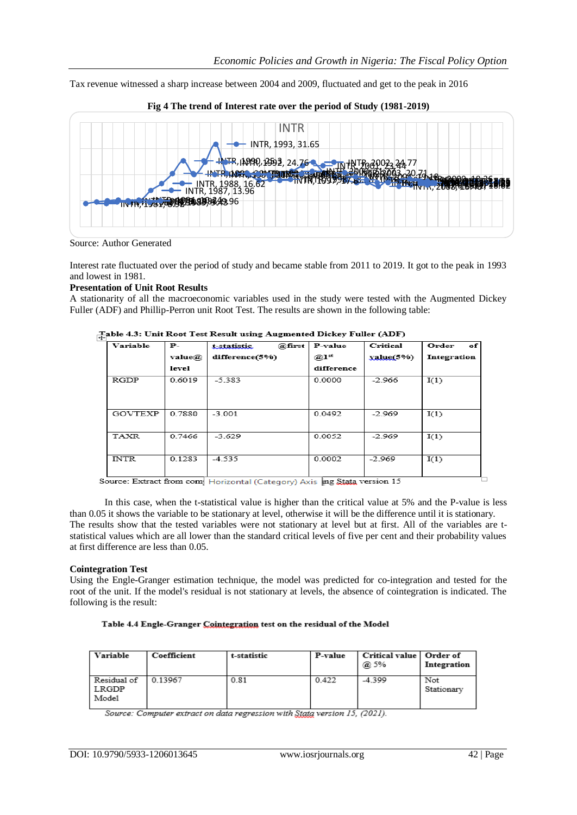Tax revenue witnessed a sharp increase between 2004 and 2009, fluctuated and get to the peak in 2016





Source: Author Generated

Interest rate fluctuated over the period of study and became stable from 2011 to 2019. It got to the peak in 1993 and lowest in 1981.

## **Presentation of Unit Root Results**

A stationarity of all the macroeconomic variables used in the study were tested with the Augmented Dickey Fuller (ADF) and Phillip-Perron unit Root Test. The results are shown in the following table:

| Variable    | $P-$   | @first<br>t-statistic | P-value            | Critical     | Order<br>of |
|-------------|--------|-----------------------|--------------------|--------------|-------------|
|             | value@ | difference(5%)        | $@1$ <sup>st</sup> | $value(5\%)$ | Integration |
|             | level  |                       | difference         |              |             |
| <b>RGDP</b> | 0.6019 | $-5.383$              | 0.0000             | $-2.966$     | I(1)        |
| GOVTEXP     | 0.7880 | $-3.001$              | 0.0492             | $-2.969$     | I(1)        |
| <b>TAXR</b> | 0.7466 | $-3.629$              | 0.0052             | $-2.969$     | I(1)        |
| <b>INTR</b> | 0.1283 | $-4.535$              | 0.0002             | $-2.969$     | I(1)        |

# $\mathcal{I}_{\mathsf{a},\mathsf{b}}$ able 4.3: Unit Root Test Result using Augmented Dickey Fuller (ADF)

Source: Extract from com Horizontal (Category) Axis ing Stata version 15

In this case, when the t-statistical value is higher than the critical value at 5% and the P-value is less than 0.05 it shows the variable to be stationary at level, otherwise it will be the difference until it is stationary. The results show that the tested variables were not stationary at level but at first. All of the variables are tstatistical values which are all lower than the standard critical levels of five per cent and their probability values at first difference are less than 0.05.

## **Cointegration Test**

Using the Engle-Granger estimation technique, the model was predicted for co-integration and tested for the root of the unit. If the model's residual is not stationary at levels, the absence of cointegration is indicated. The following is the result:

#### Table 4.4 Engle-Granger Cointegration test on the residual of the Model

| Variable                      | Coefficient | t-statistic | P-value | Critical value   Order of<br>@ 5% | Integration       |
|-------------------------------|-------------|-------------|---------|-----------------------------------|-------------------|
| Residual of<br>LRGDP<br>Model | 0.13967     | 0.81        | 0.422   | $-4.399$                          | Not<br>Stationary |

Source: Computer extract on data regression with Stata version 15, (2021).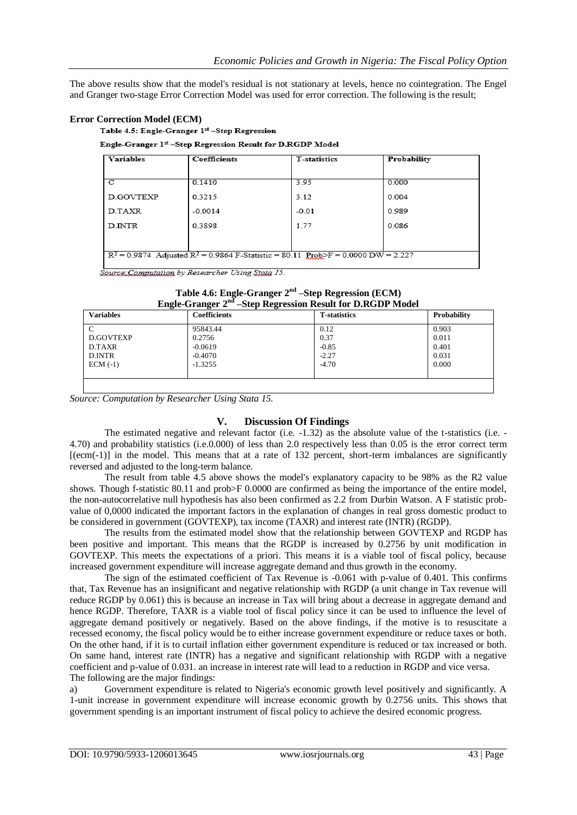The above results show that the model's residual is not stationary at levels, hence no cointegration. The Engel and Granger two-stage Error Correction Model was used for error correction. The following is the result;

## **Error Correction Model (ECM)**

Table 4.5: Engle-Granger 1st -Step Regression

#### Engle-Granger 1st -Step Regression Result for D.RGDP Model

| <b>Variables</b>                                                                      | Coefficients | T-statistics | Probability |  |
|---------------------------------------------------------------------------------------|--------------|--------------|-------------|--|
|                                                                                       |              |              |             |  |
| С                                                                                     | 0.1410       | 3.95         | 0.000       |  |
| <b>D.GOVTEXP</b>                                                                      | 0.3215       | 3.12         | 0.004       |  |
| D.TAXR                                                                                | $-0.0014$    | $-0.01$      | 0.989       |  |
| D.INTR                                                                                | 0.3898       | 1.77         | 0.086       |  |
|                                                                                       |              |              |             |  |
| $R^2 = 0.9874$ Adjusted $R^2 = 0.9864$ F-Statistic = 80.11 Prob>F = 0.0000 DW = 2.227 |              |              |             |  |

Source: Computation by Researcher Using Stata 15.

| Engle-Granger 2 <sup>nd</sup> –Step Regression Result for D.RGDP Model |                     |                     |             |  |
|------------------------------------------------------------------------|---------------------|---------------------|-------------|--|
| <b>Variables</b>                                                       | <b>Coefficients</b> | <b>T-statistics</b> | Probability |  |
| C                                                                      | 95843.44            | 0.12                | 0.903       |  |
| D.GOVTEXP                                                              | 0.2756              | 0.37                | 0.011       |  |
| D.TAXR                                                                 | $-0.0619$           | $-0.85$             | 0.401       |  |
| D.INTR                                                                 | $-0.4070$           | $-2.27$             | 0.031       |  |
| $ECM(-1)$                                                              | $-1.3255$           | $-4.70$             | 0.000       |  |
|                                                                        |                     |                     |             |  |
|                                                                        |                     |                     |             |  |

# **Table 4.6: Engle-Granger 2nd –Step Regression (ECM)**

*Source: Computation by Researcher Using Stata 15.*

# **V. Discussion Of Findings**

The estimated negative and relevant factor (i.e. -1.32) as the absolute value of the t-statistics (i.e. - 4.70) and probability statistics (i.e.0.000) of less than 2.0 respectively less than 0.05 is the error correct term  $[(ecm(-1))]$  in the model. This means that at a rate of 132 percent, short-term imbalances are significantly reversed and adjusted to the long-term balance.

The result from table 4.5 above shows the model's explanatory capacity to be 98% as the R2 value shows. Though f-statistic 80.11 and prob>F 0.0000 are confirmed as being the importance of the entire model, the non-autocorrelative null hypothesis has also been confirmed as 2.2 from Durbin Watson. A F statistic probvalue of 0,0000 indicated the important factors in the explanation of changes in real gross domestic product to be considered in government (GOVTEXP), tax income (TAXR) and interest rate (INTR) (RGDP).

The results from the estimated model show that the relationship between GOVTEXP and RGDP has been positive and important. This means that the RGDP is increased by 0.2756 by unit modification in GOVTEXP. This meets the expectations of a priori. This means it is a viable tool of fiscal policy, because increased government expenditure will increase aggregate demand and thus growth in the economy.

The sign of the estimated coefficient of Tax Revenue is -0.061 with p-value of 0.401. This confirms that, Tax Revenue has an insignificant and negative relationship with RGDP (a unit change in Tax revenue will reduce RGDP by 0.061) this is because an increase in Tax will bring about a decrease in aggregate demand and hence RGDP. Therefore, TAXR is a viable tool of fiscal policy since it can be used to influence the level of aggregate demand positively or negatively. Based on the above findings, if the motive is to resuscitate a recessed economy, the fiscal policy would be to either increase government expenditure or reduce taxes or both. On the other hand, if it is to curtail inflation either government expenditure is reduced or tax increased or both. On same hand, interest rate (INTR) has a negative and significant relationship with RGDP with a negative coefficient and p-value of 0.031. an increase in interest rate will lead to a reduction in RGDP and vice versa. The following are the major findings:

a) Government expenditure is related to Nigeria's economic growth level positively and significantly. A 1-unit increase in government expenditure will increase economic growth by 0.2756 units. This shows that government spending is an important instrument of fiscal policy to achieve the desired economic progress.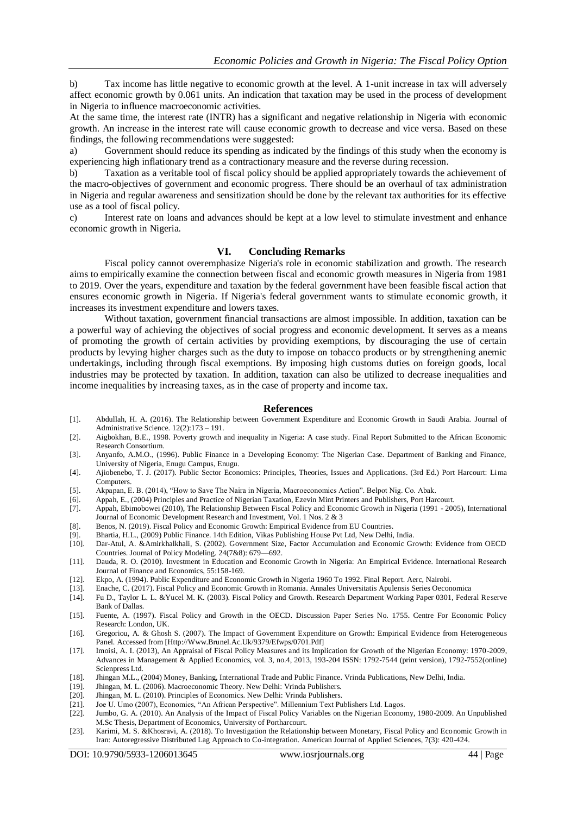b) Tax income has little negative to economic growth at the level. A 1-unit increase in tax will adversely affect economic growth by 0.061 units. An indication that taxation may be used in the process of development in Nigeria to influence macroeconomic activities.

At the same time, the interest rate (INTR) has a significant and negative relationship in Nigeria with economic growth. An increase in the interest rate will cause economic growth to decrease and vice versa. Based on these findings, the following recommendations were suggested:

a) Government should reduce its spending as indicated by the findings of this study when the economy is experiencing high inflationary trend as a contractionary measure and the reverse during recession.

b) Taxation as a veritable tool of fiscal policy should be applied appropriately towards the achievement of the macro-objectives of government and economic progress. There should be an overhaul of tax administration in Nigeria and regular awareness and sensitization should be done by the relevant tax authorities for its effective use as a tool of fiscal policy.

c) Interest rate on loans and advances should be kept at a low level to stimulate investment and enhance economic growth in Nigeria.

#### **VI. Concluding Remarks**

Fiscal policy cannot overemphasize Nigeria's role in economic stabilization and growth. The research aims to empirically examine the connection between fiscal and economic growth measures in Nigeria from 1981 to 2019. Over the years, expenditure and taxation by the federal government have been feasible fiscal action that ensures economic growth in Nigeria. If Nigeria's federal government wants to stimulate economic growth, it increases its investment expenditure and lowers taxes.

Without taxation, government financial transactions are almost impossible. In addition, taxation can be a powerful way of achieving the objectives of social progress and economic development. It serves as a means of promoting the growth of certain activities by providing exemptions, by discouraging the use of certain products by levying higher charges such as the duty to impose on tobacco products or by strengthening anemic undertakings, including through fiscal exemptions. By imposing high customs duties on foreign goods, local industries may be protected by taxation. In addition, taxation can also be utilized to decrease inequalities and income inequalities by increasing taxes, as in the case of property and income tax.

#### **References**

- [1]. Abdullah, H. A. (2016). The Relationship between Government Expenditure and Economic Growth in Saudi Arabia. Journal of Administrative Science. 12(2):173 – 191.
- [2]. Aigbokhan, B.E., 1998. Poverty growth and inequality in Nigeria: A case study. Final Report Submitted to the African Economic Research Consortium.
- [3]. Anyanfo, A.M.O., (1996). Public Finance in a Developing Economy: The Nigerian Case. Department of Banking and Finance, University of Nigeria, Enugu Campus, Enugu.
- [4]. Ajiobenebo, T. J. (2017). Public Sector Economics: Principles, Theories, Issues and Applications. (3rd Ed.) Port Harcourt: Lima Computers.
- [5]. Akpapan, E. B. (2014), "How to Save The Naira in Nigeria, Macroeconomics Action". Belpot Nig. Co. Abak.
- [6]. Appah, E., (2004) Principles and Practice of Nigerian Taxation, Ezevin Mint Printers and Publishers, Port Harcourt.
- [7]. Appah, Ebimobowei (2010), The Relationship Between Fiscal Policy and Economic Growth in Nigeria (1991 2005), International Journal of Economic Development Research and Investment, Vol. 1 Nos. 2 & 3
- [8]. Benos, N. (2019). Fiscal Policy and Economic Growth: Empirical Evidence from EU Countries.
- [9]. Bhartia, H.L., (2009) Public Finance. 14th Edition, Vikas Publishing House Pvt Ltd, New Delhi, India.
- [10]. Dar-Atul, A. &Amirkhalkhali, S. (2002). Government Size, Factor Accumulation and Economic Growth: Evidence from OECD Countries. Journal of Policy Modeling. 24(7&8): 679—692.
- [11]. Dauda, R. O. (2010). Investment in Education and Economic Growth in Nigeria: An Empirical Evidence. International Research Journal of Finance and Economics, 55:158-169.
- [12]. Ekpo, A. (1994). Public Expenditure and Economic Growth in Nigeria 1960 To 1992. Final Report. Aerc, Nairobi.
- [13]. Enache, C. (2017). Fiscal Policy and Economic Growth in Romania. Annales Universitatis Apulensis Series Oeconomica
- [14]. Fu D., Taylor L. L. &Yucel M. K. (2003). Fiscal Policy and Growth. Research Department Working Paper 0301, Federal Reserve Bank of Dallas.
- [15]. Fuente, A. (1997). Fiscal Policy and Growth in the OECD. Discussion Paper Series No. 1755. Centre For Economic Policy Research: London, UK.
- [16]. Gregoriou, A. & Ghosh S. (2007). The Impact of Government Expenditure on Growth: Empirical Evidence from Heterogeneous Panel. Accessed from [Http://Www.Brunel.Ac.Uk/9379/Efwps/0701.Pdf]
- [17]. Imoisi, A. I. (2013), An Appraisal of Fiscal Policy Measures and its Implication for Growth of the Nigerian Economy: 1970-2009, Advances in Management & Applied Economics, vol. 3, no.4, 2013, 193-204 ISSN: 1792-7544 (print version), 1792-7552(online) Scienpress Ltd.
- [18]. Jhingan M.L., (2004) Money, Banking, International Trade and Public Finance. Vrinda Publications, New Delhi, India.
- [19]. Jhingan, M. L. (2006). Macroeconomic Theory. New Delhi: Vrinda Publishers.
- [20]. Jhingan, M. L. (2010). Principles of Economics. New Delhi: Vrinda Publishers.
- [21]. Joe U. Umo (2007), Economics, "An African Perspective". Millennium Text Publishers Ltd. Lagos.
- [22]. Jumbo, G. A. (2010). An Analysis of the Impact of Fiscal Policy Variables on the Nigerian Economy, 1980-2009. An Unpublished M.Sc Thesis, Department of Economics, University of Portharcourt.
- [23]. Karimi, M. S. &Khosravi, A. (2018). To Investigation the Relationship between Monetary, Fiscal Policy and Economic Growth in Iran: Autoregressive Distributed Lag Approach to Co-integration. American Journal of Applied Sciences, 7(3): 420-424.